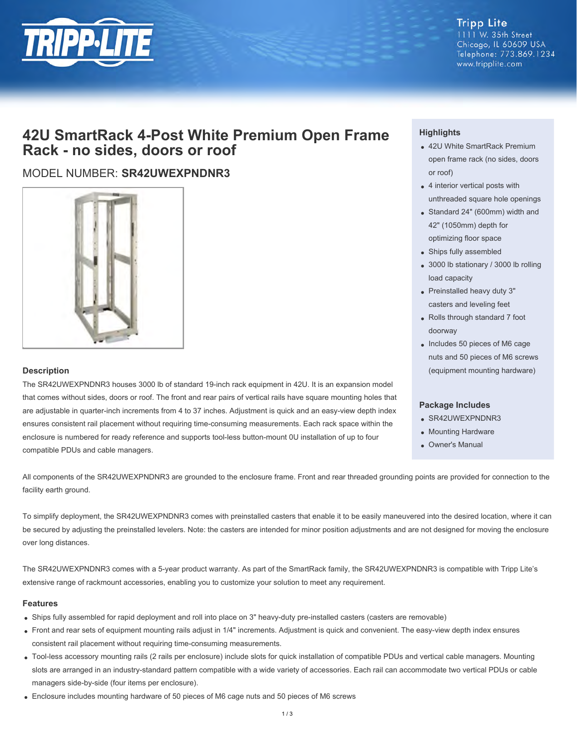

**Tripp Lite** 1111 W. 35th Street Chicago, IL 60609 USA Telephone: 773.869.1234 www.tripplite.com

# **42U SmartRack 4-Post White Premium Open Frame Rack - no sides, doors or roof**

# MODEL NUMBER: **SR42UWEXPNDNR3**



#### **Description**

The SR42UWEXPNDNR3 houses 3000 lb of standard 19-inch rack equipment in 42U. It is an expansion model that comes without sides, doors or roof. The front and rear pairs of vertical rails have square mounting holes that are adjustable in quarter-inch increments from 4 to 37 inches. Adjustment is quick and an easy-view depth index ensures consistent rail placement without requiring time-consuming measurements. Each rack space within the enclosure is numbered for ready reference and supports tool-less button-mount 0U installation of up to four compatible PDUs and cable managers.

## **Highlights**

- 42U White SmartRack Premium open frame rack (no sides, doors or roof)
- 4 interior vertical posts with unthreaded square hole openings
- Standard 24" (600mm) width and 42" (1050mm) depth for optimizing floor space
- Ships fully assembled
- 3000 lb stationary / 3000 lb rolling load capacity
- Preinstalled heavy duty 3" casters and leveling feet
- Rolls through standard 7 foot doorway
- Includes 50 pieces of M6 cage nuts and 50 pieces of M6 screws (equipment mounting hardware)

### **Package Includes**

- SR42UWEXPNDNR3
- Mounting Hardware
- Owner's Manual

All components of the SR42UWEXPNDNR3 are grounded to the enclosure frame. Front and rear threaded grounding points are provided for connection to the facility earth ground.

To simplify deployment, the SR42UWEXPNDNR3 comes with preinstalled casters that enable it to be easily maneuvered into the desired location, where it can be secured by adjusting the preinstalled levelers. Note: the casters are intended for minor position adjustments and are not designed for moving the enclosure over long distances.

The SR42UWEXPNDNR3 comes with a 5-year product warranty. As part of the SmartRack family, the SR42UWEXPNDNR3 is compatible with Tripp Lite's extensive range of rackmount accessories, enabling you to customize your solution to meet any requirement.

#### **Features**

- Ships fully assembled for rapid deployment and roll into place on 3" heavy-duty pre-installed casters (casters are removable)
- Front and rear sets of equipment mounting rails adjust in 1/4" increments. Adjustment is quick and convenient. The easy-view depth index ensures consistent rail placement without requiring time-consuming measurements.
- Tool-less accessory mounting rails (2 rails per enclosure) include slots for quick installation of compatible PDUs and vertical cable managers. Mounting slots are arranged in an industry-standard pattern compatible with a wide variety of accessories. Each rail can accommodate two vertical PDUs or cable managers side-by-side (four items per enclosure).
- Enclosure includes mounting hardware of 50 pieces of M6 cage nuts and 50 pieces of M6 screws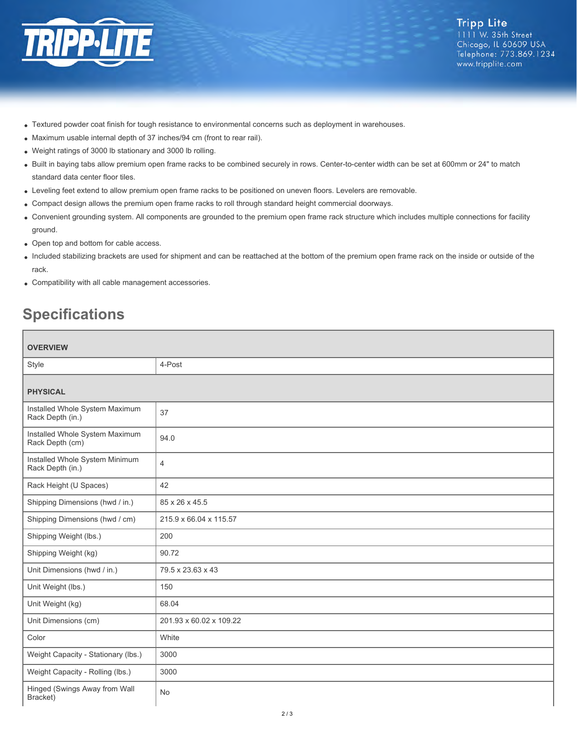

- Textured powder coat finish for tough resistance to environmental concerns such as deployment in warehouses.
- Maximum usable internal depth of 37 inches/94 cm (front to rear rail).
- Weight ratings of 3000 lb stationary and 3000 lb rolling.
- Built in baying tabs allow premium open frame racks to be combined securely in rows. Center-to-center width can be set at 600mm or 24" to match standard data center floor tiles.
- Leveling feet extend to allow premium open frame racks to be positioned on uneven floors. Levelers are removable.
- Compact design allows the premium open frame racks to roll through standard height commercial doorways.
- Convenient grounding system. All components are grounded to the premium open frame rack structure which includes multiple connections for facility ground.
- Open top and bottom for cable access.
- Included stabilizing brackets are used for shipment and can be reattached at the bottom of the premium open frame rack on the inside or outside of the rack.
- Compatibility with all cable management accessories.

# **Specifications**

| <b>OVERVIEW</b>                                    |                         |
|----------------------------------------------------|-------------------------|
| Style                                              | 4-Post                  |
| <b>PHYSICAL</b>                                    |                         |
| Installed Whole System Maximum<br>Rack Depth (in.) | 37                      |
| Installed Whole System Maximum<br>Rack Depth (cm)  | 94.0                    |
| Installed Whole System Minimum<br>Rack Depth (in.) | $\overline{4}$          |
| Rack Height (U Spaces)                             | 42                      |
| Shipping Dimensions (hwd / in.)                    | 85 x 26 x 45.5          |
| Shipping Dimensions (hwd / cm)                     | 215.9 x 66.04 x 115.57  |
| Shipping Weight (lbs.)                             | 200                     |
| Shipping Weight (kg)                               | 90.72                   |
| Unit Dimensions (hwd / in.)                        | 79.5 x 23.63 x 43       |
| Unit Weight (lbs.)                                 | 150                     |
| Unit Weight (kg)                                   | 68.04                   |
| Unit Dimensions (cm)                               | 201.93 x 60.02 x 109.22 |
| Color                                              | White                   |
| Weight Capacity - Stationary (lbs.)                | 3000                    |
| Weight Capacity - Rolling (lbs.)                   | 3000                    |
| Hinged (Swings Away from Wall<br>Bracket)          | No                      |